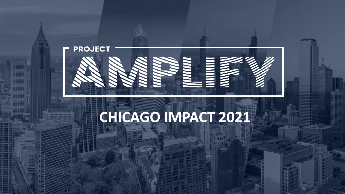

## **CHICAGO IMPACT 2021**

Copyright Copyright Copyright Copyright Copyright Copyright Copyright Copyright Copyright Copyright Copyright Copyright Copyright Copyright Copyright Copyright Copyright Copyright Copyright Copyright Copyright Copyright Co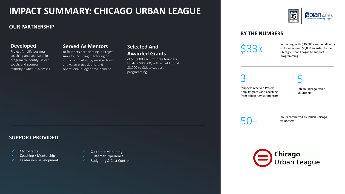### **IMPACT SUMMARY: CHICAGO URBAN LEAGUE**

#### **OUR PARTNERSHIP**

#### **Developed**

Project Amplify business coaching and sponsorship program to identify, select, coach, and sponsor minority-owned businesses

#### **Served As Mentors**

to founders participating in Project Amplify, including mentoring on customer marketing, service design and value propositions, and operational budget development

#### **Selected And Awarded Grants**

of \$10,000 each to three founders, totaling \$30,000, with an additional \$3,000 to CUL to support programming



#### **BY THE NUMBERS**

 $$33$ k in funding, with \$30,000 awarded directly<br> $$33$ k to founders and \$3,000 awarded to the<br>Chicago Urban League to support to founders and \$3,000 awarded to the Chicago Urban League to support programming

3

founders received Project Amplify grants and coaching from Jabian Advisor mentors

5 Jabian Chicago office volunteers

hours committed by Jabian Chicago<br>
SO+<br>
volunteers volunteers



#### **SUPPORT PROVIDED**

- **Microgrants**
- Coaching / Mentorship
- Leadership Development
- **Customer Marketing**
- ✓ Customer Experience
- ✓ Budgeting & Cost Control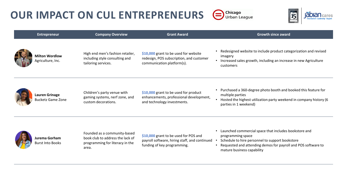## **OUR IMPACT ON CUL ENTREPRENEURS**  $\bigoplus_{\text{Chicago}}$ Chicago



| <b>Entrepreneur</b>                               | <b>Company Overview</b>                                                                                      | <b>Grant Award</b>                                                                                                    | <b>Growth since award</b>                                                                                                                                                                                                    |
|---------------------------------------------------|--------------------------------------------------------------------------------------------------------------|-----------------------------------------------------------------------------------------------------------------------|------------------------------------------------------------------------------------------------------------------------------------------------------------------------------------------------------------------------------|
| <b>Milton Wordlow</b><br>Agriculture, Inc.        | High end men's fashion retailer,<br>including style consulting and<br>tailoring services.                    | \$10,000 grant to be used for website<br>redesign, POS subscription, and customer<br>communication platform(s).       | • Redesigned website to include product categorization and revised<br>imagery<br>• Increased sales growth, including an increase in new Agriculture<br>customers                                                             |
| <b>Lauren Grinage</b><br><b>Bucketz Game Zone</b> | Children's party venue with<br>gaming systems, nerf zone, and<br>custom decorations.                         | \$10,000 grant to be used for product<br>enhancements, professional development,<br>and technology investments.       | • Purchased a 360-degree photo booth and booked this feature for<br>multiple parties<br>Hosted the highest utilization party weekend in company history (6<br>parties in 1 weekend)                                          |
| Jurema Gorham<br><b>Burst Into Books</b>          | Founded as a community-based<br>book club to address the lack of<br>programming for literacy in the<br>area. | \$10,000 grant to be used for POS and<br>payroll software, hiring staff, and continued<br>funding of key programming. | Launched commercial space that includes bookstore and<br>programming space<br>Schedule to hire personnel to support bookstore<br>Requested and attending demos for payroll and POS software to<br>mature business capability |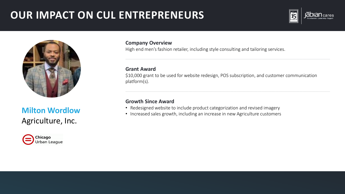## **OUR IMPACT ON CUL ENTREPRENEURS**





# Agriculture, Inc.



#### **Company Overview**

High end men's fashion retailer, including style consulting and tailoring services.

#### **Grant Award**

\$10,000 grant to be used for website redesign, POS subscription, and customer communication platform(s).

#### **Growth Since Award**

- **Milton Wordlow** Redesigned website to include product categorization and revised imagery<br>• Increased sales growth, including an increase in new Agriculture customers
	-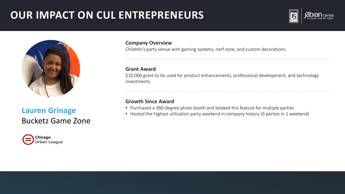## **OUR IMPACT ON CUL ENTREPRENEURS**





## Bucketz Game Zone



#### **Company Overview**

Children's party venue with gaming systems, nerf zone, and custom decorations.

#### **Grant Award**

\$10,000 grant to be used for product enhancements, professional development, and technology investments.

#### **Growth Since Award**

- Purchased a 360-degree photo booth and booked this feature for multiple parties
- Hosted the highest utilization party weekend in company history (6 parties in 1 weekend) **Lauren Grinage**